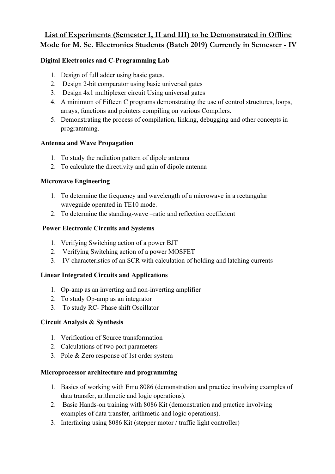# **List of Experiments (Semester I, II and III) to be Demonstrated in Offline Mode for M. Sc. Electronics Students (Batch 2019) Currently in Semester - IV**

# **Digital Electronics and C-Programming Lab**

- 1. Design of full adder using basic gates.
- 2. Design 2-bit comparator using basic universal gates
- 3. Design 4x1 multiplexer circuit Using universal gates
- 4. A minimum of Fifteen C programs demonstrating the use of control structures, loops, arrays, functions and pointers compiling on various Compilers.
- 5. Demonstrating the process of compilation, linking, debugging and other concepts in programming.

## **Antenna and Wave Propagation**

- 1. To study the radiation pattern of dipole antenna
- 2. To calculate the directivity and gain of dipole antenna

## **Microwave Engineering**

- 1. To determine the frequency and wavelength of a microwave in a rectangular waveguide operated in TE10 mode.
- 2. To determine the standing-wave –ratio and reflection coefficient

## **Power Electronic Circuits and Systems**

- 1. Verifying Switching action of a power BJT
- 2. Verifying Switching action of a power MOSFET
- 3. IV characteristics of an SCR with calculation of holding and latching currents

# **Linear Integrated Circuits and Applications**

- 1. Op-amp as an inverting and non-inverting amplifier
- 2. To study Op-amp as an integrator
- 3. To study RC- Phase shift Oscillator

## **Circuit Analysis & Synthesis**

- 1. Verification of Source transformation
- 2. Calculations of two port parameters
- 3. Pole & Zero response of 1st order system

## **Microprocessor architecture and programming**

- 1. Basics of working with Emu 8086 (demonstration and practice involving examples of data transfer, arithmetic and logic operations).
- 2. Basic Hands-on training with 8086 Kit (demonstration and practice involving examples of data transfer, arithmetic and logic operations).
- 3. Interfacing using 8086 Kit (stepper motor / traffic light controller)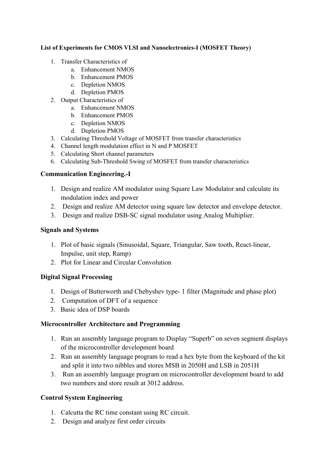#### **List of Experiments for CMOS VLSI and Nanoelectronics-I (MOSFET Theory)**

- 1. Transfer Characteristics of
	- a. Enhancement NMOS
	- b. Enhancement PMOS
	- c. Depletion NMOS
	- d. Depletion PMOS
- 2. Output Characteristics of
	- a. Enhancement NMOS
	- b. Enhancement PMOS
	- c. Depletion NMOS
	- d. Depletion PMOS
- 3. Calculating Threshold Voltage of MOSFET from transfer characteristics
- 4. Channel length modulation effect in N and P MOSFET
- 5. Calculating Short channel parameters
- 6. Calculating Sub-Threshold Swing of MOSFET from transfer characteristics

# **Communication Engineering.-I**

- 1. Design and realize AM modulator using Square Law Modulator and calculate its modulation index and power
- 2. Design and realize AM detector using square law detector and envelope detector.
- 3. Design and realize DSB-SC signal modulator using Analog Multiplier.

## **Signals and Systems**

- 1. Plot of basic signals (Sinusoidal, Square, Triangular, Saw tooth, React-linear, Impulse, unit step, Ramp)
- 2. Plot for Linear and Circular Convolution

## **Digital Signal Processing**

- 1. Design of Butterworth and Chebyshev type- 1 filter (Magnitude and phase plot)
- 2. Computation of DFT of a sequence
- 3. Basic idea of DSP boards

## **Microcontroller Architecture and Programming**

- 1. Run an assembly language program to Display "Superb" on seven segment displays of the microcontroller development board
- 2. Run an assembly language program to read a hex byte from the keyboard of the kit and split it into two nibbles and stores MSB in 2050H and LSB in 2051H
- 3. Run an assembly language program on microcontroller development board to add two numbers and store result at 3012 address.

# **Control System Engineering**

- 1. Calcutta the RC time constant using RC circuit.
- 2. Design and analyze first order circuits